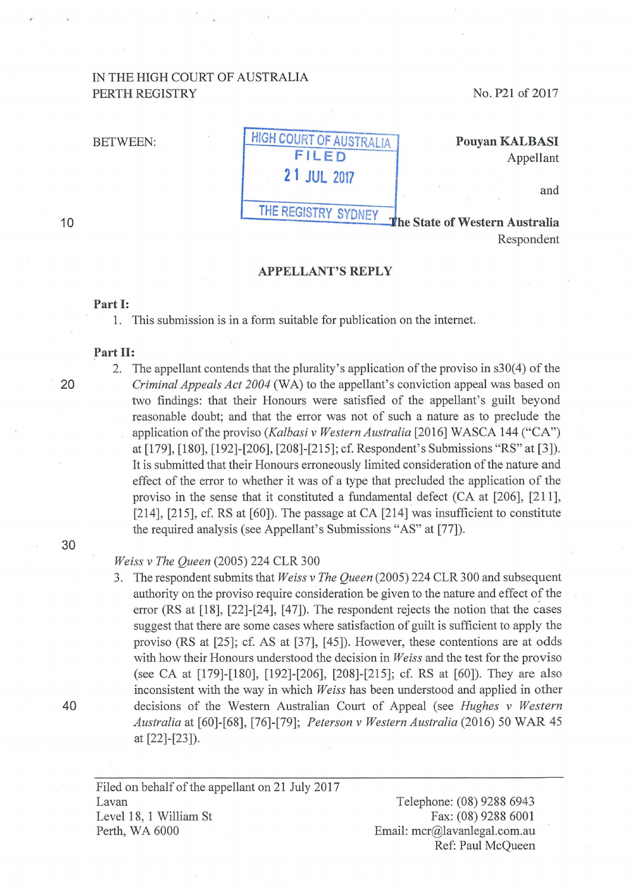# IN THE HIGH COURT OF AUSTRALIA PERTH REGISTRY

No. P21 of 2017

# BETWEEN: HIGH COURT OF AUSTRALIA FILED 21 JUL 2017 THE REGISTRY SYDNEY

# Pouyan KALBASI Appellant

and

The State of Western Australia Respondent

#### APPELLANT'S REPLY

## Part 1:

1. This submission is in a form suitable for publication on the intemet.

# Part II:

10

2. The appellant contends that the plurality's application of the proviso in s30(4) of the 20 *Criminal Appeals Act 2004* (WA) to the appellant's conviction appeal was based on two findings: that their Honours were satisfied of the appellant's guilt beyond reasonable doubt; and that the error was not of such a nature as to preclude the application of the proviso *(Kalbasi v Western Australia* [2016] WASCA 144 ("CA") at[179], [180], [192]-[206], [208]-[215]; cf. Respondent's Submissions "RS" at [3]). It is submitted that their Honours erroneously limited consideration of the nature and effect of the error to whether it was of a type that precluded the application of the proviso in the sense that it constituted a fundamental defect (CA at [206], [211], [214], [215], cf. RS at [60]). The passage at CA [214] was insufficient to constitute the required analysis (see Appellant's Submissions "AS" at [77]).

#### 30

## *Weiss v The Queen* (2005) 224 CLR 300

3. The respondent submits that *Weiss v The Queen* (2005) 224 CLR 300 and subsequent authority on the proviso require consideration be given to the nature and effect of the error  $(RS$  at  $[18]$ ,  $[22]$ - $[24]$ ,  $[47]$ ). The respondent rejects the notion that the cases suggest that there are some cases where satisfaction of guilt is sufficient to apply the proviso (RS at [25]; cf. AS at [37], [45]). However, these contentions are at odds with how their Honours understood the decision in *Weiss* and the test for the proviso (see CA at [179]-[180], [192]-[206], [208]-[215]; cf. RS at [60]). They are also inconsistent with the way in which *Weiss* has been understood and applied in other 40 decisions of the Western Australian Court of Appeal (see *Hughes v Western Australia* at [60]-[68], [76]-[79]; *Peterson v Western Australia* (2016) 50 WAR 45 at [22]-[23]).

Filed on behalf of the appellant on 21 July 2017 Lavan Level 18, 1 William St Perth, WA 6000

Telephone: (08) 9288 6943 Fax: (08) 9288 6001 Email: mcr@lavanlegal.com.au Ref: Paul McQueen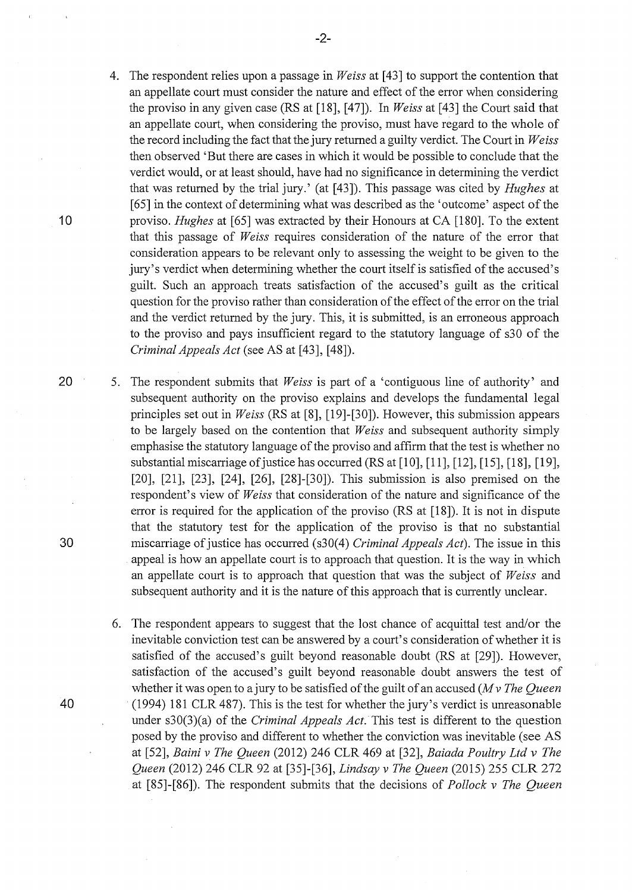- 4. The respondent relies upon a passage in *Weiss* at [43] to support the contention that an appellate court must consider the nature and effect of the error when considering the proviso in any given case (RS at [18], [47]). In *Weiss* at [43] the Court said that an appellate court, when considering the proviso, must have regard to the whole of the record including the fact that the jury returned a guilty verdict. The Court in *Weiss*  then observed 'But there are cases in which it would be possible to conclude that the verdict would, or at least should, have had no significance in determining the verdict that was returned by the trial jury.' (at [43]). This passage was cited by *Hughes* at [65] in the context of determining what was described as the 'outcome' aspect of the 10 proviso. *Hughes* at [65] was extracted by their Honours at CA [180]. To the extent that this passage of *Weiss* requires consideration of the nature of the error that consideration appears to be relevant only to assessing the weight to be given to the jury's verdict when determining whether the court itself is satisfied of the accused's guilt. Such an approach treats satisfaction of the accused's guilt as the critical question for the proviso rather than consideration of the effect of the error on the trial and the verdict returned by the jury. This, it is submitted, is an erroneous approach to the proviso and pays insufficient regard to the statutory language of s30 of the *Criminal Appeals Act* (see AS at [43], [48]).
- 20 5. The respondent submits that *Weiss* is part of a 'contiguous line of authority' and subsequent authority on the proviso explains and develops the fundamental legal principles set out in *Weiss* (RS at [8], [19]-[30]). However, this submission appears to be largely based on the contention that *Weiss* and subsequent authority simply emphasise the statutory language of the proviso and affirm that the test is whether no substantial miscarriage of justice has occurred (RS at [10], [11], [12], [15], [18], [19], [20], [21], [23], [24], [26], [28]-[30]). This submission is also premised on the respondent's view of *Weiss* that consideration of the nature and significance of the error is required for the application of the proviso (RS at [18]). It is not in dispute that the statutory test for the application of the proviso is that no substantial 30 miscarriage of justice has occurred (s30(4) *Criminal Appeals Act).* The issue in this appeal is how an appellate court is to approach that question. It is the way in which an appellate court is to approach that question that was the subject of *Weiss* and subsequent authority and it is the nature of this approach that is currently unclear.
- 6. The respondent appears to suggest that the lost chance of acquittal test and/or the inevitable conviction test can be answered by a court's consideration of whether it is satisfied of the accused's guilt beyond reasonable doubt (RS at [29]). However, satisfaction of the accused's guilt beyond reasonable doubt answers the test of whether it was open to a jury to be satisfied of the guilt of an accused *(M v The Queen*  40 (1994) 181 CLR 487). This is the test for whether the jury's verdict is unreasonable under s30(3)(a) of the *Criminal Appeals Act.* This test is different to the question posed by the proviso and different to whether the conviction was inevitable (see AS at [52], *Baini v The Queen* (2012) 246 CLR 469 at [32], *Baiada Poultry Ltd v The Queen* (2012) 246 CLR 92 at [35]-[36], *Lindsay v The Queen* (2015) 255 CLR 272 at [85]-[86]). The respondent submits that the decisions of *Pollock v The Queen*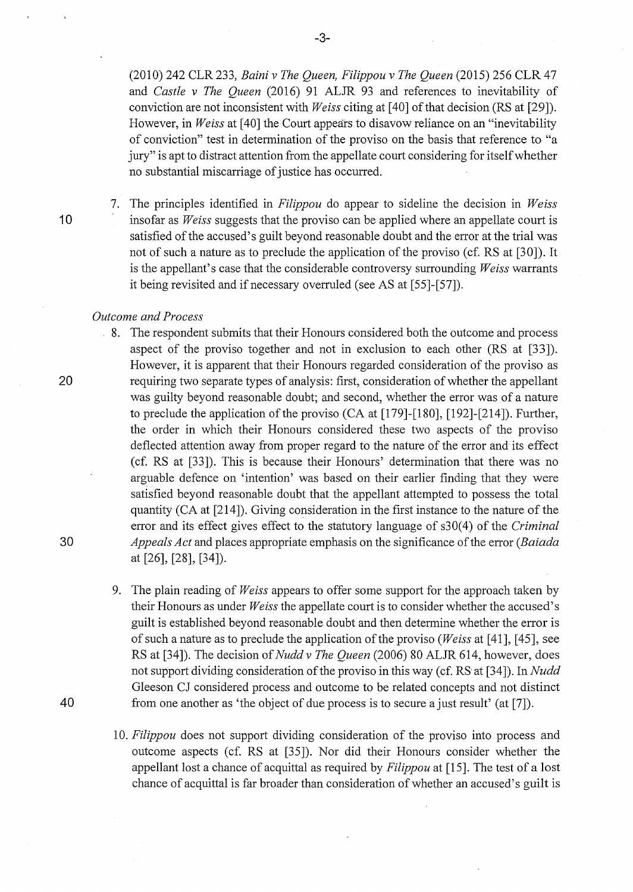(2010) 242 CLR 233, *Baini v The Queen, Filippou v The Queen* (2015) 256 CLR 47 and *Castle v The Queen* (2016) 91 ALJR 93 and references to inevitability of conviction are not inconsistent with *Weiss* citing at [ 40] of that decision (RS at [29]). However, in *Weiss* at [40] the Court appears to disavow reliance on an "inevitability" of conviction" test in determination of the proviso on the basis that reference to "a jury" is apt to distract attention from the appellate court considering for itself whether no substantial miscarriage of justice has occurred.

7. The principles identified in *Filippou* do appear to sideline the decision in *Weiss*  1 0 insofar as *Weiss* suggests that the proviso can be applied where an appellate court is satisfied of the accused's guilt beyond reasonable doubt and the error at the trial was not of such a nature as to preclude the application of the proviso (cf. RS at [30]). It is the appellant's case that the considerable controversy surrounding *Weiss* warrants it being revisited and if necessary overruled (see AS at [55]-[57]).

#### *Outcome and Process*

- 8. The respondent submits that their Honours considered both the outcome and process aspect of the proviso together and not in exclusion to each other (RS at [33]). However, it is apparent that their Honours regarded consideration of the proviso as 20 requiring two separate types of analysis: first, consideration of whether the appellant was guilty beyond reasonable doubt; and second, whether the error was of a nature to preclude the application of the proviso  $(CA \text{ at } [179]-[180], [192]-[214])$ . Further, the order in which their Honours considered these two aspects of the proviso deflected attention away from proper regard to the nature of the error and its effect (cf. RS at [33]). This is because their Honours' determination that there was no arguable defence on 'intention' was based on their earlier finding that they were satisfied beyond reasonable doubt that the appellant attempted to possess the total quantity (CA at [214]). Giving consideration in the first instance to the nature of the error and its effect gives effect to the statutory language of s30(4) of the *Criminal* 30 *Appeals Act* and places appropriate emphasis on the significance of the error *(Baiada*  at [26], [28], [34]).
- 9. The plain reading of *Weiss* appears to offer some support for the approach taken by their Honours as under *Weiss* the appellate court is to consider whether the accused's guilt is established beyond reasonable doubt and then determine whether the error is of such a nature as to preclude the application of the proviso *(Weiss* at [ 41 ], [ 45], see RS at [34]). The decision of *Nudd v The Queen* (2006) 80 ALJR 614, however, does not support dividing consideration of the proviso in this way (cf. RS at [34]). In *Nudd*  Gleeson CJ considered process and outcome to be related concepts and not distinct 40 from one another as 'the object of due process is to secure a just result' (at [7]).
	- 10. *Filippou* does not support dividing consideration of the proviso into process and outcome aspects (cf. RS at [35]). Nor did their Honours consider whether the appellant lost a chance of acquittal as required by *Filippou* at [ 15]. The test of a lost chance of acquittal is far broader than consideration of whether an accused's guilt is

-3-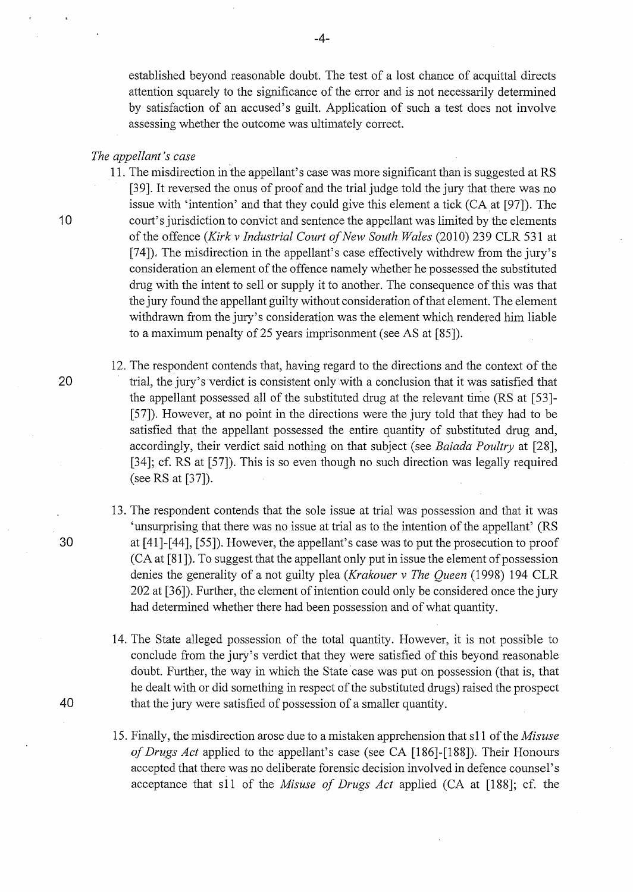established beyond reasonable doubt. The test of a lost chance of acquittal directs attention squarely to the significance of the error and is not necessarily determined by satisfaction of an accused's guilt. Application of such a test does not involve assessing whether the outcome was ultimately correct.

# *The appellant's case*

11. The misdirection in the appellant's case was more significant than is suggested at RS [39]. It reversed the onus of proof and the trial judge told the jury that there was no issue with 'intention' and that they could give this element a tick (CA at [97]). The 10 court's jurisdiction to convict and sentence the appellant was limited by the elements of the offence *(Kirk v Industrial Court of New South Wales* (2010) 239 CLR 531 at [74]), The misdirection in the appellant's case effectively withdrew from the jury's consideration an element of the offence namely whether he possessed the substituted drug with the intent to sell or supply it to another. The consequence of this was that the jury found the appellant guilty without consideration of that element. The element withdrawn from the jury's consideration was the element which rendered him liable to a maximum penalty of 25 years imprisonment (see AS at [85]).

- 12. The respondent contends that, having regard to the directions and the context of the 20 trial, the jury's verdict is consistent only with a conclusion that it was satisfied that the appellant possessed all of the substituted drug at the relevant time (RS at [53]- [57]). However, at no point in the directions were the jury told that they had to be satisfied that the appellant possessed the entire quantity of substituted drug and, accordingly, their verdict said nothing on that subject (see *Baiada Poultry* at [28], [34]; cf. RS at [57]). This is so even though no such direction was legally required (seeRS at [37]).
- 13. The respondent contends that the sole issue at trial was possession and that it was 'unsurprising that there was no issue at trial as to the intention of the appellant' (RS 30 at [41]-[44], [55]). However, the appellant's case was to put the prosecution to proof (CA at [81]). To suggest that the appellant only put in issue the element of possession denies the generality of a not guilty plea *(Krakouer v The Queen* (1998) 194 CLR 202 at [36]). Further, the element of intention could only be considered once the jury had determined whether there had been possession and of what quantity.
- 14. The State alleged possession of the total quantity. However, it is not possible to conclude from the jury's verdict that they were satisfied of this beyond reasonable doubt. Further, the way in which the State'case was put on possession (that is, that he dealt with or did something in respect of the substituted drugs) raised the prospect 40 that the jury were satisfied of possession of a smaller quantity.
	- 15. Finally, the misdirection arose due to a mistaken apprehension that s11 of the *Misuse of Drugs Act* applied to the appellant's case (see CA [186]-[188]). Their Honours accepted that there was no deliberate forensic decision involved in defence counsel's acceptance that s11 of the *Misuse of Drugs Act* applied (CA at [188]; cf. the